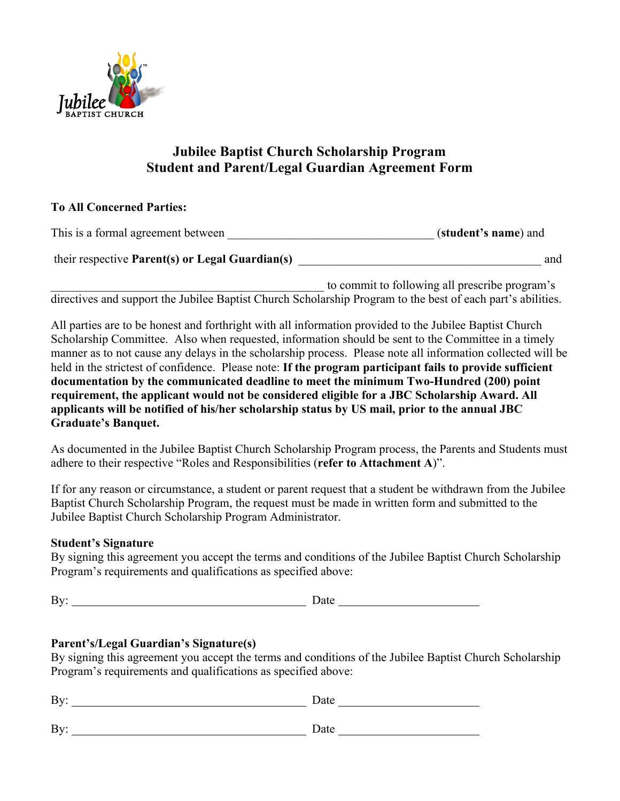

# **Jubilee Baptist Church Scholarship Program Student and Parent/Legal Guardian Agreement Form**

### **To All Concerned Parties:**

| This is a formal agreement between              | (student's name) and                           |     |  |
|-------------------------------------------------|------------------------------------------------|-----|--|
| their respective Parent(s) or Legal Guardian(s) |                                                | and |  |
|                                                 | to commit to following all prescribe program's |     |  |

directives and support the Jubilee Baptist Church Scholarship Program to the best of each part's abilities.

All parties are to be honest and forthright with all information provided to the Jubilee Baptist Church Scholarship Committee. Also when requested, information should be sent to the Committee in a timely manner as to not cause any delays in the scholarship process. Please note all information collected will be held in the strictest of confidence. Please note: **If the program participant fails to provide sufficient documentation by the communicated deadline to meet the minimum Two-Hundred (200) point requirement, the applicant would not be considered eligible for a JBC Scholarship Award. All applicants will be notified of his/her scholarship status by US mail, prior to the annual JBC Graduate's Banquet.**

As documented in the Jubilee Baptist Church Scholarship Program process, the Parents and Students must adhere to their respective "Roles and Responsibilities (**refer to Attachment A**)".

If for any reason or circumstance, a student or parent request that a student be withdrawn from the Jubilee Baptist Church Scholarship Program, the request must be made in written form and submitted to the Jubilee Baptist Church Scholarship Program Administrator.

# **Student's Signature**

By signing this agreement you accept the terms and conditions of the Jubilee Baptist Church Scholarship Program's requirements and qualifications as specified above:

By: Date

# **Parent's/Legal Guardian's Signature(s)**

By signing this agreement you accept the terms and conditions of the Jubilee Baptist Church Scholarship Program's requirements and qualifications as specified above:

| By: | Date |
|-----|------|
| By: | Date |